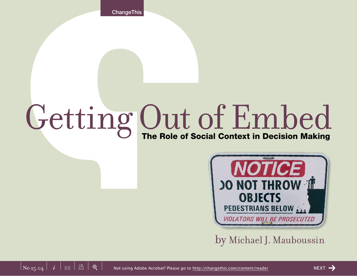**ChangeThis** 

# Getting Out of Embed



by Michael J. Mauboussin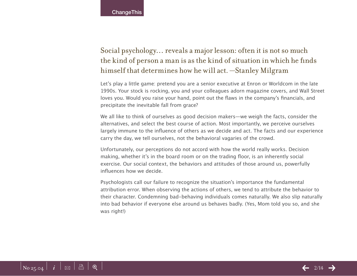# Social psychology… reveals a major lesson: often it is not so much the kind of person a man is as the kind of situation in which he finds himself that determines how he will act. —Stanley Milgram

Let's play a little game: pretend you are a senior executive at Enron or Worldcom in the late 1990s. Your stock is rocking, you and your colleagues adorn magazine covers, and Wall Street loves you. Would you raise your hand, point out the flaws in the company's financials, and precipitate the inevitable fall from grace?

We all like to think of ourselves as good decision makers—we weigh the facts, consider the alternatives, and select the best course of action. Most importantly, we perceive ourselves largely immune to the influence of others as we decide and act. The facts and our experience carry the day, we tell ourselves, not the behavioral vagaries of the crowd.

Unfortunately, our perceptions do not accord with how the world really works. Decision making, whether it's in the board room or on the trading floor, is an inherently social exercise. Our social context, the behaviors and attitudes of those around us, powerfully influences how we decide.

Psychologists call our failure to recognize the situation's importance the fundamental attribution error. When observing the actions of others, we tend to attribute the behavior to their character. Condemning bad-behaving individuals comes naturally. We also slip naturally into bad behavior if everyone else around us behaves badly. (Yes, Mom told you so, and she was right!)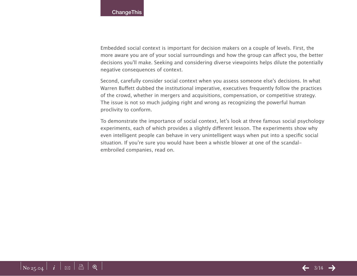Embedded social context is important for decision makers on a couple of levels. First, the more aware you are of your social surroundings and how the group can affect you, the better decisions you'll make. Seeking and considering diverse viewpoints helps dilute the potentially negative consequences of context.

Second, carefully consider social context when you assess someone else's decisions. In what Warren Buffett dubbed the institutional imperative, executives frequently follow the practices of the crowd, whether in mergers and acquisitions, compensation, or competitive strategy. The issue is not so much judging right and wrong as recognizing the powerful human proclivity to conform.

To demonstrate the importance of social context, let's look at three famous social psychology experiments, each of which provides a slightly different lesson. The experiments show why even intelligent people can behave in very unintelligent ways when put into a specific social situation. If you're sure you would have been a whistle blower at one of the scandalembroiled companies, read on.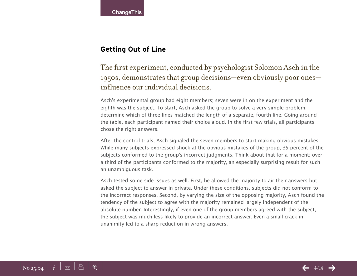## **Getting Out of Line**

The first experiment, conducted by psychologist Solomon Asch in the 1950s, demonstrates that group decisions—even obviously poor ones influence our individual decisions.

Asch's experimental group had eight members; seven were in on the experiment and the eighth was the subject. To start, Asch asked the group to solve a very simple problem: determine which of three lines matched the length of a separate, fourth line. Going around the table, each participant named their choice aloud. In the first few trials, all participants chose the right answers.

After the control trials, Asch signaled the seven members to start making obvious mistakes. While many subjects expressed shock at the obvious mistakes of the group, 35 percent of the subjects conformed to the group's incorrect judgments. Think about that for a moment: over a third of the participants conformed to the majority, an especially surprising result for such an unambiguous task.

Asch tested some side issues as well. First, he allowed the majority to air their answers but asked the subject to answer in private. Under these conditions, subjects did not conform to the incorrect responses. Second, by varying the size of the opposing majority, Asch found the tendency of the subject to agree with the majority remained largely independent of the absolute number. Interestingly, if even one of the group members agreed with the subject, the subject was much less likely to provide an incorrect answer. Even a small crack in unanimity led to a sharp reduction in wrong answers.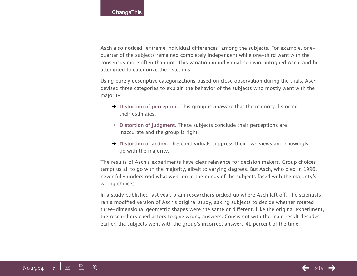Asch also noticed "extreme individual differences" among the subjects. For example, onequarter of the subjects remained completely independent while one-third went with the consensus more often than not. This variation in individual behavior intrigued Asch, and he attempted to categorize the reactions.

Using purely descriptive categorizations based on close observation during the trials, Asch devised three categories to explain the behavior of the subjects who mostly went with the majority:

- $→$  **Distortion of perception.** This group is unaware that the majority distorted their estimates.
- $→$  **Distortion of judgment.** These subjects conclude their perceptions are inaccurate and the group is right.
- $\rightarrow$  Distortion of action. These individuals suppress their own views and knowingly go with the majority.

The results of Asch's experiments have clear relevance for decision makers. Group choices tempt us all to go with the majority, albeit to varying degrees. But Asch, who died in 1996, never fully understood what went on in the minds of the subjects faced with the majority's wrong choices.

In a study published last year, brain researchers picked up where Asch left off. The scientists ran a modified version of Asch's original study, asking subjects to decide whether rotated three-dimensional geometric shapes were the same or different. Like the original experiment, the researchers cued actors to give wrong answers. Consistent with the main result decades earlier, the subjects went with the group's incorrect answers 41 percent of the time.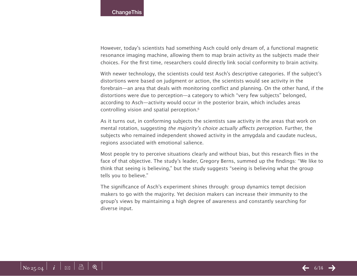However, today's scientists had something Asch could only dream of, a functional magnetic resonance imaging machine, allowing them to map brain activity as the subjects made their choices. For the first time, researchers could directly link social conformity to brain activity.

With newer technology, the scientists could test Asch's descriptive categories. If the subject's distortions were based on judgment or action, the scientists would see activity in the forebrain—an area that deals with monitoring conflict and planning. On the other hand, if the distortions were due to perception—a category to which "very few subjects" belonged, according to Asch—activity would occur in the posterior brain, which includes areas controlling vision and spatial perception.6

As it turns out, in conforming subjects the scientists saw activity in the areas that work on mental rotation, suggesting the majority's choice actually affects perception. Further, the subjects who remained independent showed activity in the amygdala and caudate nucleus, regions associated with emotional salience.

Most people try to perceive situations clearly and without bias, but this research flies in the face of that objective. The study's leader, Gregory Berns, summed up the findings: "We like to think that seeing is believing," but the study suggests "seeing is believing what the group tells you to believe."

The significance of Asch's experiment shines through: group dynamics tempt decision makers to go with the majority. Yet decision makers can increase their immunity to the group's views by maintaining a high degree of awareness and constantly searching for diverse input.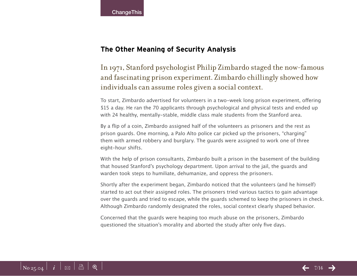## **The Other Meaning of Security Analysis**

In 1971, Stanford psychologist Philip Zimbardo staged the now-famous and fascinating prison experiment. Zimbardo chillingly showed how individuals can assume roles given a social context.

To start, Zimbardo advertised for volunteers in a two-week long prison experiment, offering \$15 a day. He ran the 70 applicants through psychological and physical tests and ended up with 24 healthy, mentally-stable, middle class male students from the Stanford area.

By a flip of a coin, Zimbardo assigned half of the volunteers as prisoners and the rest as prison guards. One morning, a Palo Alto police car picked up the prisoners, "charging" them with armed robbery and burglary. The guards were assigned to work one of three eight-hour shifts.

With the help of prison consultants, Zimbardo built a prison in the basement of the building that housed Stanford's psychology department. Upon arrival to the jail, the guards and warden took steps to humiliate, dehumanize, and oppress the prisoners.

Shortly after the experiment began, Zimbardo noticed that the volunteers (and he himself) started to act out their assigned roles. The prisoners tried various tactics to gain advantage over the guards and tried to escape, while the guards schemed to keep the prisoners in check. Although Zimbardo randomly designated the roles, social context clearly shaped behavior.

Concerned that the guards were heaping too much abuse on the prisoners, Zimbardo questioned the situation's morality and aborted the study after only five days.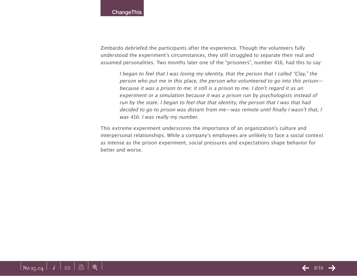Zimbardo debriefed the participants after the experience. Though the volunteers fully understood the experiment's circumstances, they still struggled to separate their real and assumed personalities. Two months later one of the "prisoners", number 416, had this to say:

I began to feel that I was losing my identity, that the person that I called "Clay," the person who put me in this place, the person who volunteered to go into this prison because it was a prison to me; it still is a prison to me. I don't regard it as an experiment or a simulation because it was a prison run by psychologists instead of run by the state. I began to feel that that identity, the person that I was that had decided to go to prison was distant from me—was remote until finally I wasn't that, I was 416. I was really my number.

This extreme experiment underscores the importance of an organization's culture and interpersonal relationships. While a company's employees are unlikely to face a social context as intense as the prison experiment, social pressures and expectations shape behavior for better and worse.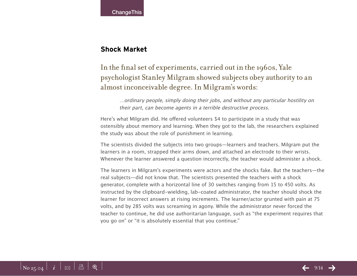**ChangeThis** 

### **Shock Market**

# In the final set of experiments, carried out in the 1960s, Yale psychologist Stanley Milgram showed subjects obey authority to an almost inconceivable degree. In Milgram's words:

…ordinary people, simply doing their jobs, and without any particular hostility on their part, can become agents in a terrible destructive process.

Here's what Milgram did. He offered volunteers \$4 to participate in a study that was ostensibly about memory and learning. When they got to the lab, the researchers explained the study was about the role of punishment in learning.

The scientists divided the subjects into two groups—learners and teachers. Milgram put the learners in a room, strapped their arms down, and attached an electrode to their wrists. Whenever the learner answered a question incorrectly, the teacher would administer a shock.

The learners in Milgram's experiments were actors and the shocks fake. But the teachers—the real subjects—did not know that. The scientists presented the teachers with a shock generator, complete with a horizontal line of 30 switches ranging from 15 to 450 volts. As instructed by the clipboard-wielding, lab-coated administrator, the teacher should shock the learner for incorrect answers at rising increments. The learner/actor grunted with pain at 75 volts, and by 285 volts was screaming in agony. While the administrator never forced the teacher to continue, he did use authoritarian language, such as "the experiment requires that you go on" or "it is absolutely essential that you continue."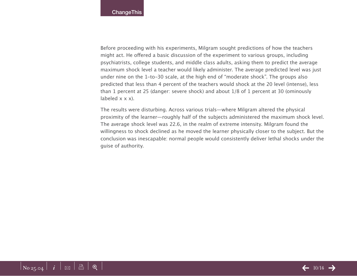Before proceeding with his experiments, Milgram sought predictions of how the teachers might act. He offered a basic discussion of the experiment to various groups, including psychiatrists, college students, and middle class adults, asking them to predict the average maximum shock level a teacher would likely administer. The average predicted level was just under nine on the 1-to-30 scale, at the high end of "moderate shock". The groups also predicted that less than 4 percent of the teachers would shock at the 20 level (intense), less than 1 percent at 25 (danger: severe shock) and about 1/8 of 1 percent at 30 (ominously labeled  $x \times x$ ).

The results were disturbing. Across various trials—where Milgram altered the physical proximity of the learner—roughly half of the subjects administered the maximum shock level. The average shock level was 22.6, in the realm of extreme intensity. Milgram found the willingness to shock declined as he moved the learner physically closer to the subject. But the conclusion was inescapable: normal people would consistently deliver lethal shocks under the guise of authority.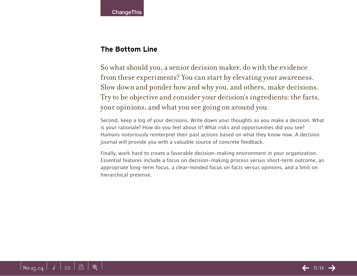## **The Bottom Line**

So what should you, a senior decision maker, do with the evidence from these experiments? You can start by elevating your awareness. Slow down and ponder how and why you, and others, make decisions. Try to be objective and consider your decision's ingredients: the facts, your opinions, and what you see going on around you.

Second, keep a log of your decisions. Write down your thoughts as you make a decision. What is your rationale? How do you feel about it? What risks and opportunities did you see? Humans notoriously reinterpret their past actions based on what they know now. A decision journal will provide you with a valuable source of concrete feedback.

Finally, work hard to create a favorable decision-making environment in your organization. Essential features include a focus on decision-making process versus short-term outcome, an appropriate long-term focus, a clear-minded focus on facts versus opinions, and a limit on hierarchical pretense.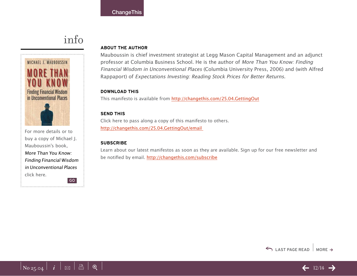# info



For more details or to buy a copy of Michael J. Mauboussin's book, More Than You Know: Finding Financial Wisdom in Unconventional Places [click here](http://800ceoread.com/products/?ISBN=0231138709). GO

#### **About the Author**

Mauboussin is chief investment strategist at Legg Mason Capital Management and an adjunct professor at Columbia Business School. He is the author of More Than You Know: Finding Financial Wisdom in Unconventional Places (Columbia University Press, 2006) and (with Alfred Rappaport) of Expectations Investing: Reading Stock Prices for Better Returns.

#### **download this**

This manifesto is available from [http://changethis.com/25.04.GettingOu](http://changethis.com/25.04.GettingOut)t

#### **send this**

Click here to pass along a copy of this manifesto to others. [http://changethis.com/25.04.GettingOut/emai](http://changethis.com/25.04.GettingOut/email )l

#### **Subscribe**

Learn about our latest manifestos as soon as they are available. Sign up for our free newsletter and be notified by email. <http://changethis.com/subscribe>



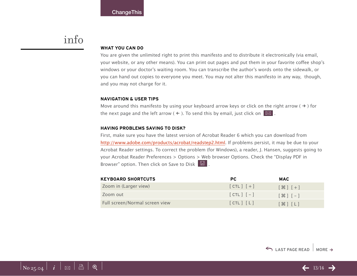# info

#### **WHAT YOU CAN DO**

You are given the unlimited right to print this manifesto and to distribute it electronically (via email, your website, or any other means). You can print out pages and put them in your favorite coffee shop's windows or your doctor's waiting room. You can transcribe the author's words onto the sidewalk, or you can hand out copies to everyone you meet. You may not alter this manifesto in any way, though, and you may not charge for it.

#### **Navigation & User Tips**

Move around this manifesto by using your keyboard arrow keys or click on the right arrow ( $\rightarrow$ ) for the next page and the left arrow (  $\leftarrow$  ). To send this by email, just click on  $\boxed{\boxtimes}$  .

#### **Having problems saving to disk?**

First, make sure you have the latest version of Acrobat Reader 6 which you can download from [http://www.adobe.com/products/acrobat/readstep2.htm](http://www.adobe.com/products/acrobat/readstep2.html)l. If problems persist, it may be due to your Acrobat Reader settings. To correct the problem (for Windows), a reader, J. Hansen, suggests going to your Acrobat Reader Preferences > Options > Web browser Options. Check the "Display PDF in Browser" option. Then click on Save to Disk  $\boxed{\boxtimes}$ .

| <b>KEYBOARD SHORTCUTS</b>      | PC.           | <b>MAC</b>                                 |
|--------------------------------|---------------|--------------------------------------------|
| Zoom in (Larger view)          | $[CIL]$ $[+]$ | $[$ $\mathcal{H}$ $]$ $[$ $+$ $]$          |
| Zoom out                       | $[CHL]$ $[-]$ | $5+1$ $5+1$                                |
| Full screen/Normal screen view | [CIL] [L]     | $[$ $\mathcal{H}$ $]$ $[$ $\mathsf{L}$ $]$ |